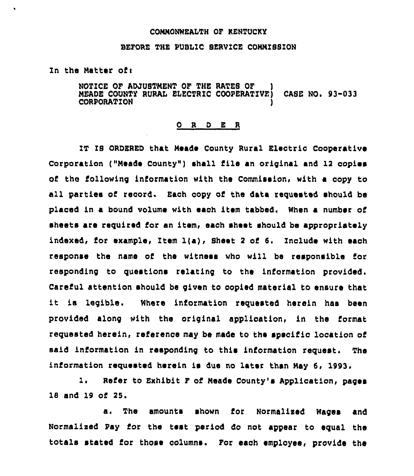## COMMONWEALTH OF KENTUCKY

## BEFORE THE PUBLIC SERVICE COMMISSION

In the Matter ofi

 $\ddot{\phantom{0}}$ 

NOTICE OF ADJUSTMENT OF THE RATES OF ) MEADE COUNTY RURAL ELECTRIC COOPERATIVE) CASE NO. 93-033 CORPORATION

## 0 <sup>R</sup> <sup>D</sup> E <sup>R</sup>

IT IS ORDERED that Meade County Rural Electric Cooperative Corporation ("Meade County") shall file an original and 12 copies of the following information with the Commission, with a copy to all parties of record. Each copy of the data requested should be placed in a bound volume with each item tabbed. When a number of sheets are required for an item, each sheet should be appropriately indexed, for example, Item  $l(a)$ , Sheet 2 of 6. Include with each response the name of the witness who will be responsible for responding to questions relating to the information provided. Careful attention should be given to copied material to ensure that it ia legible. Where information requested herein has been provided along with the original application, in the format requested herein, referenoe may bs made to the specific location of said information in responding to this information request. The information requested herein is due no later than May 6, 1993.

1. Refer to Exhibit <sup>F</sup> of Meade County's Applioation, pages 18 and 19 of 25.

a. The amounts shown for Normalixed Wages and Normalized Pay ior the test period do not appear to equal the totals stated for those columns, For each employee, provide the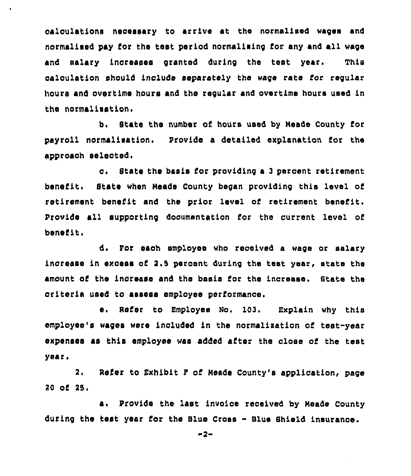calculations necessary to arrive at the normalised wages and normalised pay for the test period normalising for any and all wage and salary increases granted during the test year. This calculation should inolude separately hhe wage rate for regular hours and overtime hours and the regular and overtime hours used in the normalisation.

b, State the number of hours used by Neade County tor payroll normalisahion. Provide a detailed explanation for the approach selected.

<sup>~</sup> State the basis for providing a <sup>3</sup> percent retirement benefit. State when Meade County began providing this level of retirement benefit and the prior level of retirement benefit. Provide all supporting documentation for the current lovel of benefit,

d. For each employee who received a wage or salary increase in excess of 2.5 percent during the test year, state the amount of the increase and the basis for the increase. State the criteria used to assess employee performance.

e. Refer to Employee No. 103. Explain why this employee's wages were included in the normalixation of test-year expenses as this employee was added after the close of the test year.

2. Refer to Exhibit F of Meade County's application, page 20 of 25.

a. Provide the last invoioe reoeived by Neade County during the test year for the Blue Cross - Blue Shield insurance.

 $-2-$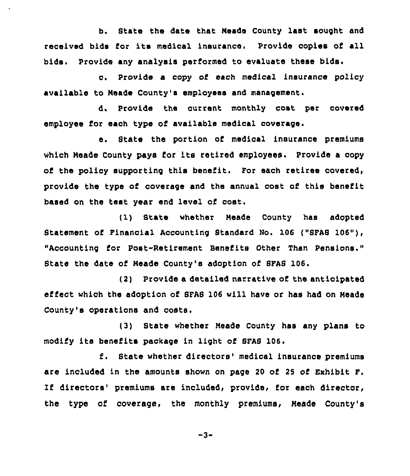b. State the date that Neade County last sought and received bids for its medical insurance. Provide copies of all bids. Provide any analysis performed to evaluate these bids.

c. Provide <sup>a</sup> copy of each medical insurance policy available to Neade County's employees and management.

d. Provide the currant monthly cost per covered employee for each type of available medical coverage.

e. State the portion of medical insurance premiums which Meade County pays for its retired employees. Provide <sup>a</sup> copy of the policy supporting this benefit. For each retiree covered, provide the type of coverage and the annual cost of this benefit based on the test year end level of cost.

(1) State whether Mends County has adopted Statement of Financial Accounting Standard No. 106 ("SFAS 106"), "Accounting for Post-Retirement Benefits Other Than Pensions." State the date of Neade County's adoption of SFAS 106.

(2) Provide a detailed narrative of the anticipated effect which the adoption of SFAS 106 will have or has had on Meade County's operations and costs.

(3) State whether Meade County has any plans to modify its benefits package in light of SFAS 106.

f. State whether directors' medical insurance premiums are included in the amounts shown on page 20 of 25 of Exhibit F. If directors' premiums are included, provide, for each director, the type of coverage, the monthly premiums, Neade County's

 $-3-$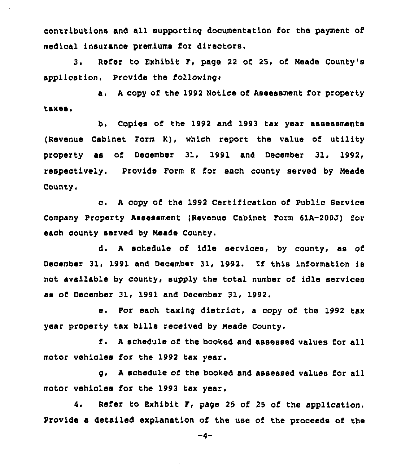contributions and all supporting documentation for the payment of medical insurance premiums for directors.

3. Refer to Exhibit F, page <sup>22</sup> of 25, of Neade County's application. Provide the following:

a. A copy of the 1992 Notice of Assessment for property taxes.

b, Copies of the 1992 and 1993 tax year assessments (Revenue Cabinet Form K), which report the value of utility property as of December 31, 1991 and December 31, 1992, respeotively. Provide Form <sup>K</sup> for each county served by Neade County.

o. <sup>A</sup> copy of the 1992 Certification of Public Service Company Property Assessment (Revenue Cabinet Form 61A-200J) for each county served by Neade County.

d. A schedule of idle services, by county, as of December 31, 1991 and December 31, 1992. If this information is not available by county, supply the total number of idle services as o5 December 31< 1991 and December 31, 1992.

e. For each taxing district, <sup>a</sup> copy of the 1992 tax year property tax bills received by Neade County.

<sup>A</sup> schedule of the booked and assessed values for all motor vehicles for the 1992 tax year.

g. <sup>A</sup> schedule of the booked and assessed values for all motor vehicles for the 1993 tax year.

4. Refer to Exhibit F, page 25 of <sup>25</sup> of the application. provide a detailed explanation of the use of the proceeds of the

-4-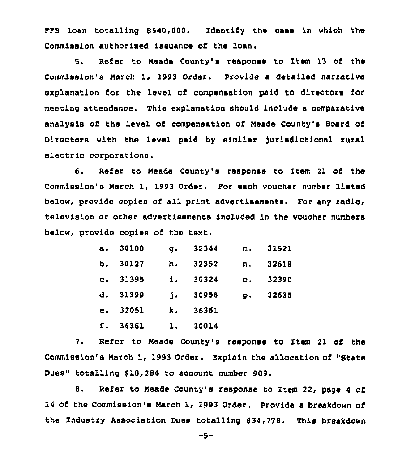FFB loan totalling 8540,000. Identify the case in which the Commission authorised issuance of the loan.

5. Refer to Meade County's response to Item 13 of the Commission's Narch 1, 1993 Order. Provide <sup>a</sup> detailed narrative explanation for the level of compensation paid to directors for meeting attendance. This explanation should include a comparative analysis of the level of compensation of Neade County's Board of Directors with the level paid by similar jurisdictional rural electric corporations.

6. Refer to Needs County's response to Item 21 of the Commission's Narch 1, 1993 Order. For each vouoher number listed below, provide copies of all print advertisements. For any radio, television or other advertisements included in the voucher numbers below, provide copies of the text.

| $\mathbf{a}$ . | 30100 | $\mathbf{q}$ . | 32344 | п.        | 31521 |
|----------------|-------|----------------|-------|-----------|-------|
| b.             | 30127 | h.             | 32352 | n.        | 32618 |
| $\mathbf{c}$ . | 31395 | $\mathbf{1}$ . | 30324 | $\circ$ . | 32390 |
| d.             | 31399 | $\mathbf{1}$ . | 30958 | p.        | 32635 |
| е.             | 32051 | k.             | 36361 |           |       |
| f.             | 36361 | 1.             | 30014 |           |       |

7. Refer to Neade County's response to Item 21 of the Commission's Narch 1, 1993 Order. Explain the allocation of "State Dues" totalling 810,284 to account number 909.

8. Refer to Neade County's response to Item 22, page <sup>4</sup> of 14 of the Commission's March 1, 1993 Order. Provide a breakdown of the Industry association Dues totalling 834,778. This breakdown

-5-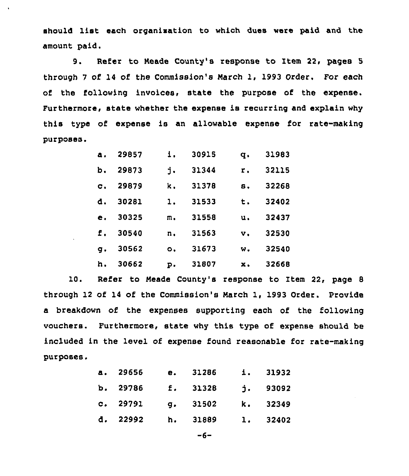should list each organisation to which dues were paid and the amount paid.

9. Refer to Meade County's response to Item 22, pages <sup>5</sup> through <sup>7</sup> of 14 of the Commission's March 1, 1993 Order. For each of the following invoices, state the purpose of the expense. Furthermore, state whether the expense is recurring and explain why this type of expense is an allowable expense for rate-making purposes,

| Δ.             | 29857 | 1.        | 30915 | q.             | 31983 |
|----------------|-------|-----------|-------|----------------|-------|
| ъ.             | 29873 | j.        | 31344 | r.             | 32115 |
| $\mathbf{C}$ . | 29879 | k.        | 31378 | 8.             | 32268 |
| d.             | 30281 | 1.        | 31533 | t.             | 32402 |
| e.             | 30325 | m.        | 31558 | $\mathbf{u}$ . | 32437 |
| f.             | 30540 | n.        | 31563 | $\mathbf{v}$ . | 32530 |
| g.             | 30562 | $\circ$ . | 31673 | w.             | 32540 |
| h.             | 30662 | p.        | 31807 | x.             | 32668 |
|                |       |           |       |                |       |

10. Refer to Meade County's response to Item 22, page <sup>8</sup> through 12 of 14 of the Commission's March 1, 1993 Order. Provide a breakdown of the expenses supporting each of the following vouchers. Furthermore, state why this type of expense should, be included in the level of expense found reasonable for rate-making purposes.

| $\mathbf{a}$ . | 29656      | е. | 31286    |    | 1. 31932   |
|----------------|------------|----|----------|----|------------|
|                | b. $29786$ |    | E. 31328 |    | $j.$ 93092 |
|                | c. 29791   |    | q. 31502 |    | k. 32349   |
| d.             | 22992      | h. | 31889    | 1. | 32402      |

 $-6-$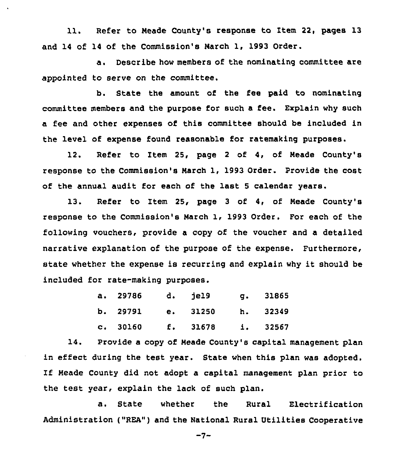11. Refer to Neade County's response to Item 22, pages 13 and 14 of 14 of the Commission's Narch 1, 1993 Order.

a. Describe how members of the nominating committee are appointed to serve on the committee.

b. State the amount of the fee paid to nominating committee members and the purpose for such a fee. Explain why such a fee and other expenses of this committee should be included in the level of expense found reasonable for ratemaking purposes.

12. Refer to Item 25, page <sup>2</sup> of 4, of Neade County's response to the Commission's March 1, 1993 Order. Provide the cost of the annual audit for each of the last <sup>5</sup> calendar years.

13. Refer to Item 25, page 3 of 4, of Meade County's response to the Commission's March 1< 1993 Order. For each of the following vouchers, provide a copy of the voucher and a detailed narrative explanation of the purpose of the expense. Furthermore, state whether the expense is recurring and explain why it should be included for rate-making purposes.

| a. 29786 d. jel9 |                            | q. 31865 |
|------------------|----------------------------|----------|
|                  | b. 29791 e. 31250 h. 32349 |          |
|                  | c. 30160 f. 31678 i. 32567 |          |

14. Provide a copy of Neade County's capital management plan in effect during the test year. State when this plan was adopted. If Neade County did not adopt a capital management plan prior to the test year, explain the lack of such plan.

a. State whether the Rural Electrification Administration ("REA") and the National Rural Utilities Cooperative

 $-7-$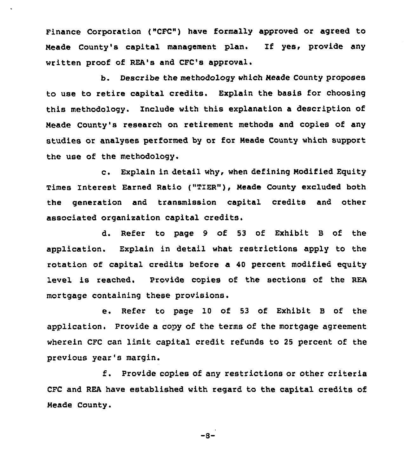Finance Corporation {"CFC") have formally approved or agreed to Neade County's capital management plan. If yes, provide any written proof of REA's and CPC's approval.

b. Describe the methodology which Neade County proposes to use to retire capital credits. Explain the basis for choosing this methodology. Include with this explanation a description of Meade County's research on retirement methods and copies of any studies or analyses performed by or for Reads County which support the use of the methodology.

c. Explain in detail why, when defining Modified Equity Times Interest Earned Ratio ("TIER" ), Heade County excluded both the generation and transmission capital credits and other associated organisation capital credits.

d. Refer to page 9 of 53 of Exhibit <sup>B</sup> of the application. Explain in detail what restrictions apply to the rotation of capital credits before a 40 percent modified equity level is reached. Provide copies of the sections of the REA mortgage containing these provisions.

e. Refer to page IQ of <sup>53</sup> of Exhibit <sup>B</sup> of the application. Provide a copy of the terms of the mortgage agreement wherein CFC can limit capital credit refunds to 25 percent of the previous year's margin.

f. Provide copies of any restrictions or other criteria CFC and REA have established with regard to the capital credits of Neade county.

 $-8-$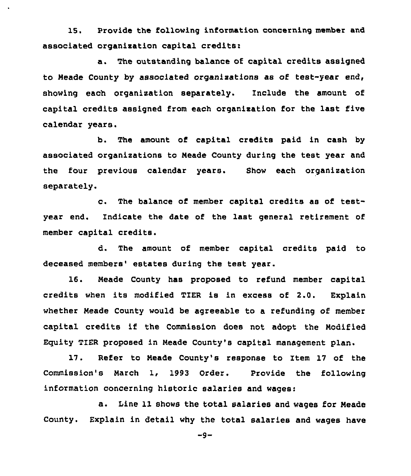15. Provide the following information concerning member and associated organisation capital creditsi

a. The outstanding balance of capital credits assigned to Meade County by associated organixations as of test-year end, showing each organisation separately. Include the amount of capital credits assigned from each organisation for the last five calendar years.

b. The amount of capital credits paid in cash by associated organizations to Neade County during the test year and the four previous calendar years. Show each organisation separately.

c. The balance of member capital credits as of testyear end. Indicate the date of the last general retirement of member capital credits.

d. The amount of member capital credits paid to deceased members' estates during the test year.

16. Meade County has proposed to refund member capital credits when its modified TIER is in excess of 2.0. Explain whether Neade County would be agreeable to a refunding of member capital credits if the Commission does not adopt the Modified Equity TIER proposed in Neade County's capital management plan.

17. Refer to Meade County's response to Item 17 of the Commission's March 1, 1993 Order. Provide the following information concerning historic salaries and wages:

a. Line 11 shows the total salaries and wages for Neade County. Explain in detail why the total salaries and wages have

 $-9-$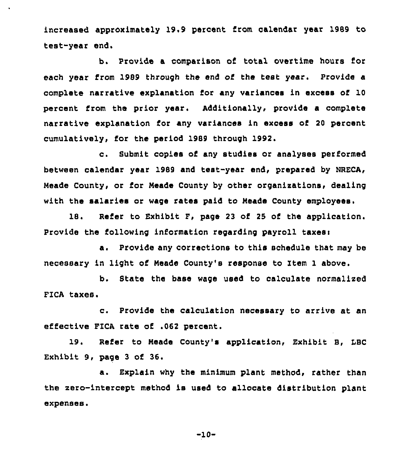increased approximately 19.9 percent from calendar year 1989 to test-year end.

b. Provide a comparison of total overtime hours for each year from 1989 through the end of the test year. Provide a complete narrative explanation for any variances in excess of 10 percent from the prior year. Additionally, provide a complete narrative explanation for any variances in excess of 20 percent cumulatively, for the period 1989 through 1992.

c. Submit copies of any studies or analyses performed between calendar year 1989 and teat-year end, prepared by NRECA, Meade County, or for Meade County by other organizations, dealing with the salaries or wage rates paid to Neade County employees.

18. Refer to Exhibit F, page 23 of 25 of the application, Provide the following information regarding payroll taxes:

a. Provide any corrections to this schedule that may be necessary in light of Meade County's response to Item 1 above.

b. State the base wage used to calculate normalized FICA taxes.

c. Provide the calculation necessary to arrive at an effective FICA rate of .062 percent.

19. Refer to Neade County's application, Exhibit 8, IBC Exhibit 9, page <sup>3</sup> of 36.

a. Explain why the minimum plant method, rather than the zero-intercept method is used to allocate distribution plant expenses.

-10-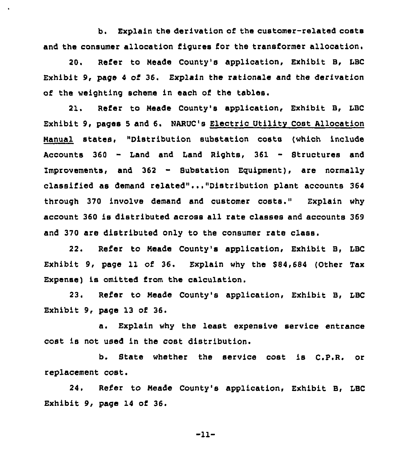b. Explain the derivation of the customer-related costs and the consumer allocation figures for the transformer allocation.

20, Refer to Meade County's application, Exhibit B, LBC Exhibit 9, page 4 of 36. Explain the rationale and the derivation of the weighting scheme in each of the tables.

21. Refer to Meade County's application, Exhibit B, LBC Exhibit 9, pages <sup>5</sup> and 6. NARUC's Electric Utility Cost Allocation Manual states, "Distribution substation costs (which include Accounts <sup>360</sup> - Land and Land Rights, <sup>361</sup> - Structures and Improvements, and <sup>362</sup> - Substation Eguipment), are normally classified as demand related"..."Distribution plant accounts 364 through 370 involve demand and customer costs." Explain why account 3&0 is distributed across all rate classes and accounts 369 and 370 are distributed only to the consumer rate class.

22. Refer to Meade County's application, Exhibit B, LBC Exhibit 9, page 11 of 36. Explain why the \$84,684 (Other Tax Expense) is omitted from the calculation.

23. Refer to Meade County's application, Exhibit B, LBC Exhibit 9, page 13 of 36.

a. Explain why the least expensive service entrance cost is not used in the cost distribution.

b. State whether the service cost is C.P.R. or replacement cost.

24. Refer to Neade County's application, Exhibit B, LBC Exhibit 9, page 14 of 36.

-11-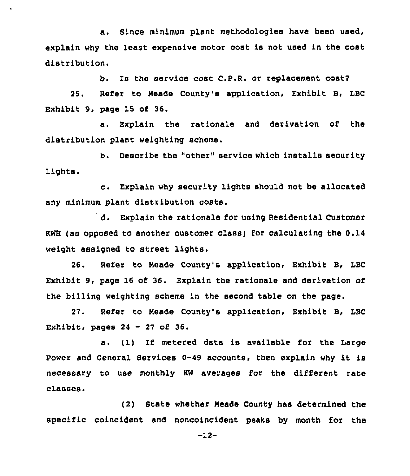a. Since minimum plant methodologies have been used, explain why the least expensive motor cost is not used in the cost distribution.

b. Is the service cost C.P.R. or replacement cost?

25. Refer to Meade County's application, Exhibit B, LBC Exhibit 9, page 15 of 36.

a. Explain the rationale and derivation of the distribution plant weighting scheme.

b. Describe the "other" service which installs security lights.

c. Explain why security lights should not be allocated any minimum plant distribution costs.

d. Explain the rationale for using Residential Customer KWH (as opposed to another customer class) for calculating the 0.14 weight assigned to street lights.

26. Refer to Meade County's application, Exhibit B, LBC Exhibit 9, page 16 of 36. Explain the rationale and derivation of the billing weighting scheme in the second table on the page.

27. Refer to Neade County's application, Exhibit B, LBC Exhibit, pages  $24 - 27$  of  $36.$ 

a. (1) If metered data is available for the Large Power and General Services 0-49 accounts, then explain why it is necessary to use monthly KW averages for the different rate classes.

(2) State whether Neade County has determined the specific coincident and noncoincident peaks by month for the

-12-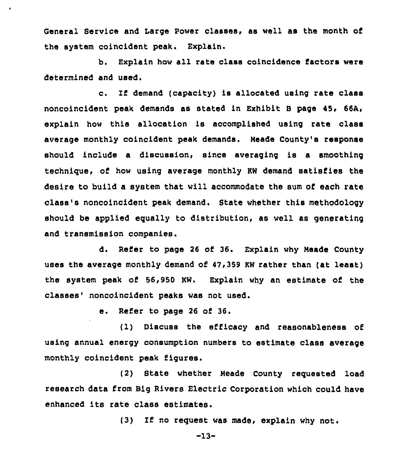General Service and Large power classes, as well as the month of the system coincident peak. Explain.

 $\lambda$ 

b. Explain how all rate class coincidence factors were determined and used.

c. If demand (capacity) is allocated using rate class noncoincident peak demands as stated in Exhibit B page 45, 66A, explain how this allocation is accomplished using rate class average monthly coincident peak demands. Neade County's response should include a discussion, since averaging is a smoothing technique, of how using average monthly KW demand satisfies the desire to build a system that will accommodate the sum of each rate class's noncoincident peak demand, State whether this methodology should be applied egually to distribution, as well as generating and transmission companies.

d. Refer to page 26 of 36. Explain why Meade County uses the average monthly demand of 47,359 KW rather than (at least) the system peak of 56,950 KW. Explain why an estimate of the classes' noncoincident peaks was not used.

e. Refer to page <sup>26</sup> of 36.

(1) Discuss the efficacy and reasonableness of using annual energy consumption numbers to estimate class average monthly coincident peak figures.

(2) State whether Meade County reguested load research data from Big Rivers Electric Corporation which could have enhanced its rate class estimates.

(3) If no request was made, explain why not.

-13-